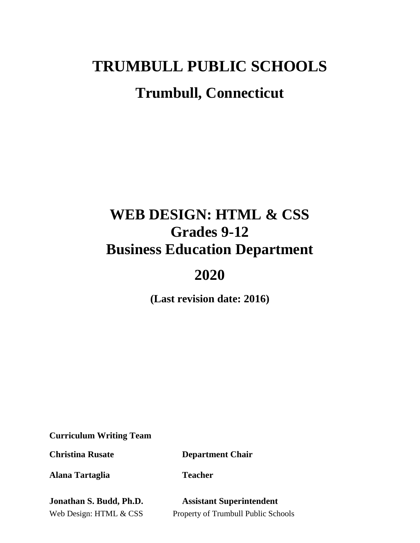# **TRUMBULL PUBLIC SCHOOLS Trumbull, Connecticut**

## **WEB DESIGN: HTML & CSS Grades 9-12 Business Education Department**

## **2020**

**(Last revision date: 2016)**

**Curriculum Writing Team**

**Christina Rusate Department Chair**

**Alana Tartaglia Teacher** 

**Jonathan S. Budd, Ph.D. Assistant Superintendent**

Web Design: HTML & CSS Property of Trumbull Public Schools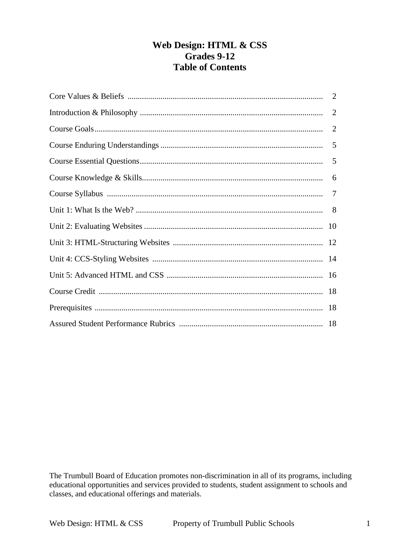## **Web Design: HTML & CSS Grades 9-12 Table of Contents**

| 2 |
|---|
| 2 |
|   |
|   |
|   |
|   |
|   |
|   |
|   |
|   |
|   |
|   |
|   |
|   |

The Trumbull Board of Education promotes non-discrimination in all of its programs, including educational opportunities and services provided to students, student assignment to schools and classes, and educational offerings and materials.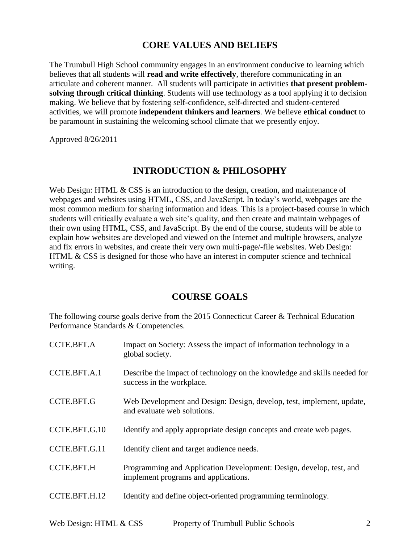## **CORE VALUES AND BELIEFS**

The Trumbull High School community engages in an environment conducive to learning which believes that all students will **read and write effectively**, therefore communicating in an articulate and coherent manner. All students will participate in activities **that present problemsolving through critical thinking**. Students will use technology as a tool applying it to decision making. We believe that by fostering self-confidence, self-directed and student-centered activities, we will promote **independent thinkers and learners**. We believe **ethical conduct** to be paramount in sustaining the welcoming school climate that we presently enjoy.

Approved 8/26/2011

## **INTRODUCTION & PHILOSOPHY**

Web Design: HTML & CSS is an introduction to the design, creation, and maintenance of webpages and websites using HTML, CSS, and JavaScript. In today's world, webpages are the most common medium for sharing information and ideas. This is a project-based course in which students will critically evaluate a web site's quality, and then create and maintain webpages of their own using HTML, CSS, and JavaScript. By the end of the course, students will be able to explain how websites are developed and viewed on the Internet and multiple browsers, analyze and fix errors in websites, and create their very own multi-page/-file websites. Web Design: HTML & CSS is designed for those who have an interest in computer science and technical writing.

## **COURSE GOALS**

The following course goals derive from the 2015 Connecticut Career & Technical Education Performance Standards & Competencies.

| <b>CCTE.BFT.A</b> | Impact on Society: Assess the impact of information technology in a<br>global society.                      |
|-------------------|-------------------------------------------------------------------------------------------------------------|
| CCTE.BFT.A.1      | Describe the impact of technology on the knowledge and skills needed for<br>success in the workplace.       |
| <b>CCTE.BFT.G</b> | Web Development and Design: Design, develop, test, implement, update,<br>and evaluate web solutions.        |
| CCTE.BFT.G.10     | Identify and apply appropriate design concepts and create web pages.                                        |
| CCTE.BFT.G.11     | Identify client and target audience needs.                                                                  |
| <b>CCTE.BFT.H</b> | Programming and Application Development: Design, develop, test, and<br>implement programs and applications. |
| CCTE.BFT.H.12     | Identify and define object-oriented programming terminology.                                                |
|                   |                                                                                                             |

Web Design: HTML & CSS Property of Trumbull Public Schools 2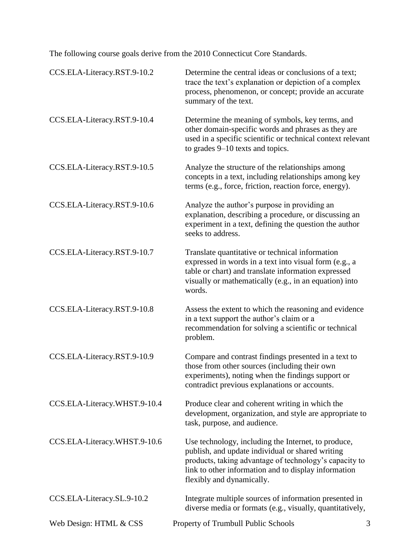The following course goals derive from the 2010 Connecticut Core Standards.

| CCS.ELA-Literacy.RST.9-10.2  | Determine the central ideas or conclusions of a text;<br>trace the text's explanation or depiction of a complex<br>process, phenomenon, or concept; provide an accurate<br>summary of the text.                                                        |
|------------------------------|--------------------------------------------------------------------------------------------------------------------------------------------------------------------------------------------------------------------------------------------------------|
| CCS.ELA-Literacy.RST.9-10.4  | Determine the meaning of symbols, key terms, and<br>other domain-specific words and phrases as they are<br>used in a specific scientific or technical context relevant<br>to grades 9–10 texts and topics.                                             |
| CCS.ELA-Literacy.RST.9-10.5  | Analyze the structure of the relationships among<br>concepts in a text, including relationships among key<br>terms (e.g., force, friction, reaction force, energy).                                                                                    |
| CCS.ELA-Literacy.RST.9-10.6  | Analyze the author's purpose in providing an<br>explanation, describing a procedure, or discussing an<br>experiment in a text, defining the question the author<br>seeks to address.                                                                   |
| CCS.ELA-Literacy.RST.9-10.7  | Translate quantitative or technical information<br>expressed in words in a text into visual form (e.g., a<br>table or chart) and translate information expressed<br>visually or mathematically (e.g., in an equation) into<br>words.                   |
| CCS.ELA-Literacy.RST.9-10.8  | Assess the extent to which the reasoning and evidence<br>in a text support the author's claim or a<br>recommendation for solving a scientific or technical<br>problem.                                                                                 |
| CCS.ELA-Literacy.RST.9-10.9  | Compare and contrast findings presented in a text to<br>those from other sources (including their own<br>experiments), noting when the findings support or<br>contradict previous explanations or accounts.                                            |
| CCS.ELA-Literacy.WHST.9-10.4 | Produce clear and coherent writing in which the<br>development, organization, and style are appropriate to<br>task, purpose, and audience.                                                                                                             |
| CCS.ELA-Literacy.WHST.9-10.6 | Use technology, including the Internet, to produce,<br>publish, and update individual or shared writing<br>products, taking advantage of technology's capacity to<br>link to other information and to display information<br>flexibly and dynamically. |
| CCS.ELA-Literacy.SL.9-10.2   | Integrate multiple sources of information presented in<br>diverse media or formats (e.g., visually, quantitatively,                                                                                                                                    |
| Web Design: HTML & CSS       | Property of Trumbull Public Schools<br>3                                                                                                                                                                                                               |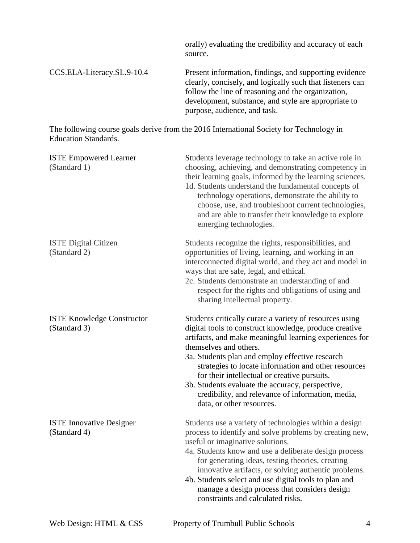|                                                   | orally) evaluating the credibility and accuracy of each<br>source.                                                                                                                                                                                                                                                                                                                                                                                                                                      |  |
|---------------------------------------------------|---------------------------------------------------------------------------------------------------------------------------------------------------------------------------------------------------------------------------------------------------------------------------------------------------------------------------------------------------------------------------------------------------------------------------------------------------------------------------------------------------------|--|
| CCS.ELA-Literacy.SL.9-10.4                        | Present information, findings, and supporting evidence<br>clearly, concisely, and logically such that listeners can<br>follow the line of reasoning and the organization,<br>development, substance, and style are appropriate to<br>purpose, audience, and task.                                                                                                                                                                                                                                       |  |
| <b>Education Standards.</b>                       | The following course goals derive from the 2016 International Society for Technology in                                                                                                                                                                                                                                                                                                                                                                                                                 |  |
| <b>ISTE Empowered Learner</b><br>(Standard 1)     | Students leverage technology to take an active role in<br>choosing, achieving, and demonstrating competency in<br>their learning goals, informed by the learning sciences.<br>1d. Students understand the fundamental concepts of<br>technology operations, demonstrate the ability to<br>choose, use, and troubleshoot current technologies,<br>and are able to transfer their knowledge to explore<br>emerging technologies.                                                                          |  |
| <b>ISTE Digital Citizen</b><br>(Standard 2)       | Students recognize the rights, responsibilities, and<br>opportunities of living, learning, and working in an<br>interconnected digital world, and they act and model in<br>ways that are safe, legal, and ethical.<br>2c. Students demonstrate an understanding of and<br>respect for the rights and obligations of using and<br>sharing intellectual property.                                                                                                                                         |  |
| <b>ISTE Knowledge Constructor</b><br>(Standard 3) | Students critically curate a variety of resources using<br>digital tools to construct knowledge, produce creative<br>artifacts, and make meaningful learning experiences for<br>themselves and others.<br>3a. Students plan and employ effective research<br>strategies to locate information and other resources<br>for their intellectual or creative pursuits.<br>3b. Students evaluate the accuracy, perspective,<br>credibility, and relevance of information, media,<br>data, or other resources. |  |
| <b>ISTE Innovative Designer</b><br>(Standard 4)   | Students use a variety of technologies within a design<br>process to identify and solve problems by creating new,<br>useful or imaginative solutions.<br>4a. Students know and use a deliberate design process<br>for generating ideas, testing theories, creating<br>innovative artifacts, or solving authentic problems.<br>4b. Students select and use digital tools to plan and<br>manage a design process that considers design<br>constraints and calculated risks.                               |  |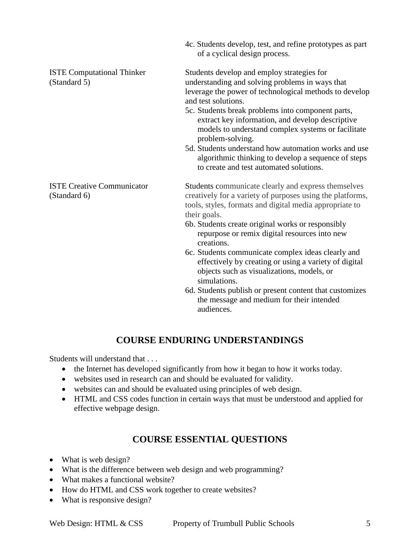|                                                   | 4c. Students develop, test, and refine prototypes as part<br>of a cyclical design process.                                                                                                                                                                                                                                                                                                                                |  |  |
|---------------------------------------------------|---------------------------------------------------------------------------------------------------------------------------------------------------------------------------------------------------------------------------------------------------------------------------------------------------------------------------------------------------------------------------------------------------------------------------|--|--|
| <b>ISTE Computational Thinker</b><br>(Standard 5) | Students develop and employ strategies for<br>understanding and solving problems in ways that<br>leverage the power of technological methods to develop<br>and test solutions.<br>5c. Students break problems into component parts,<br>extract key information, and develop descriptive<br>models to understand complex systems or facilitate<br>problem-solving.<br>5d. Students understand how automation works and use |  |  |
|                                                   | algorithmic thinking to develop a sequence of steps<br>to create and test automated solutions.                                                                                                                                                                                                                                                                                                                            |  |  |
| <b>ISTE Creative Communicator</b><br>(Standard 6) | Students communicate clearly and express themselves<br>creatively for a variety of purposes using the platforms,<br>tools, styles, formats and digital media appropriate to<br>their goals.<br>6b. Students create original works or responsibly<br>repurpose or remix digital resources into new<br>creations.                                                                                                           |  |  |
|                                                   | 6c. Students communicate complex ideas clearly and<br>effectively by creating or using a variety of digital<br>objects such as visualizations, models, or<br>simulations.<br>64. Chipped under weeklichte von werden von den schausen der ausgeweiten von dem dem siegen                                                                                                                                                  |  |  |

6d. Students publish or present content that customizes the message and medium for their intended audiences.

## **COURSE ENDURING UNDERSTANDINGS**

Students will understand that . . .

- the Internet has developed significantly from how it began to how it works today.
- websites used in research can and should be evaluated for validity.
- websites can and should be evaluated using principles of web design.
- HTML and CSS codes function in certain ways that must be understood and applied for effective webpage design.

## **COURSE ESSENTIAL QUESTIONS**

- What is web design?
- What is the difference between web design and web programming?
- What makes a functional website?
- How do HTML and CSS work together to create websites?
- What is responsive design?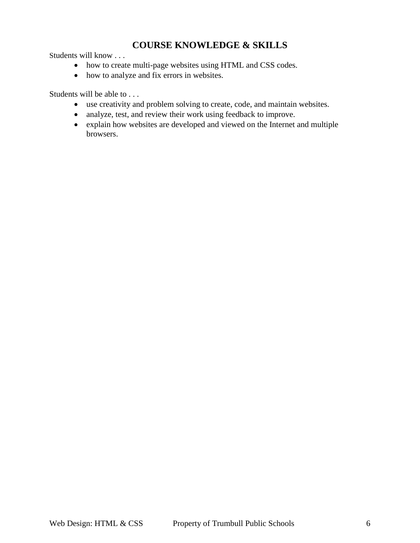## **COURSE KNOWLEDGE & SKILLS**

Students will know . . .

- how to create multi-page websites using HTML and CSS codes.
- how to analyze and fix errors in websites.

Students will be able to . . .

- use creativity and problem solving to create, code, and maintain websites.
- analyze, test, and review their work using feedback to improve.
- explain how websites are developed and viewed on the Internet and multiple browsers.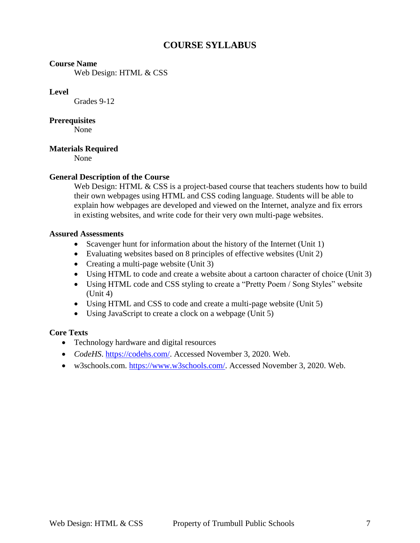## **COURSE SYLLABUS**

#### **Course Name**

Web Design: HTML & CSS

#### **Level**

Grades 9-12

#### **Prerequisites**

None

## **Materials Required**

None

## **General Description of the Course**

Web Design: HTML & CSS is a project-based course that teachers students how to build their own webpages using HTML and CSS coding language. Students will be able to explain how webpages are developed and viewed on the Internet, analyze and fix errors in existing websites, and write code for their very own multi-page websites.

#### **Assured Assessments**

- Scavenger hunt for information about the history of the Internet (Unit 1)
- Evaluating websites based on 8 principles of effective websites (Unit 2)
- Creating a multi-page website (Unit 3)
- Using HTML to code and create a website about a cartoon character of choice (Unit 3)
- Using HTML code and CSS styling to create a "Pretty Poem / Song Styles" website (Unit 4)
- Using HTML and CSS to code and create a multi-page website (Unit 5)
- Using JavaScript to create a clock on a webpage (Unit 5)

#### **Core Texts**

- Technology hardware and digital resources
- *CodeHS*. [https://codehs.com/.](https://codehs.com/) Accessed November 3, 2020. Web.
- w3schools.com. [https://www.w3schools.com/.](https://www.w3schools.com/) Accessed November 3, 2020. Web.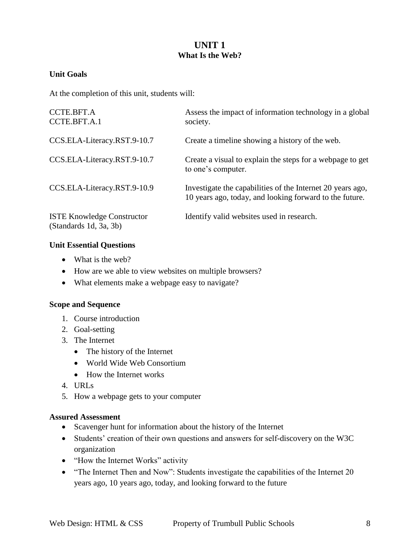## **UNIT 1 What Is the Web?**

## **Unit Goals**

At the completion of this unit, students will:

| CCTE.BFT.A<br>CCTE.BFT.A.1                                  | Assess the impact of information technology in a global<br>society.                                                   |
|-------------------------------------------------------------|-----------------------------------------------------------------------------------------------------------------------|
| CCS.ELA-Literacy.RST.9-10.7                                 | Create a timeline showing a history of the web.                                                                       |
| CCS.ELA-Literacy.RST.9-10.7                                 | Create a visual to explain the steps for a webpage to get<br>to one's computer.                                       |
| CCS.ELA-Literacy.RST.9-10.9                                 | Investigate the capabilities of the Internet 20 years ago,<br>10 years ago, today, and looking forward to the future. |
| <b>ISTE Knowledge Constructor</b><br>(Standards 1d, 3a, 3b) | Identify valid websites used in research.                                                                             |

## **Unit Essential Questions**

- What is the web?
- How are we able to view websites on multiple browsers?
- What elements make a webpage easy to navigate?

#### **Scope and Sequence**

- 1. Course introduction
- 2. Goal-setting
- 3. The Internet
	- The history of the Internet
	- World Wide Web Consortium
	- How the Internet works
- 4. URLs
- 5. How a webpage gets to your computer

#### **Assured Assessment**

- Scavenger hunt for information about the history of the Internet
- Students' creation of their own questions and answers for self-discovery on the W3C organization
- "How the Internet Works" activity
- "The Internet Then and Now": Students investigate the capabilities of the Internet 20 years ago, 10 years ago, today, and looking forward to the future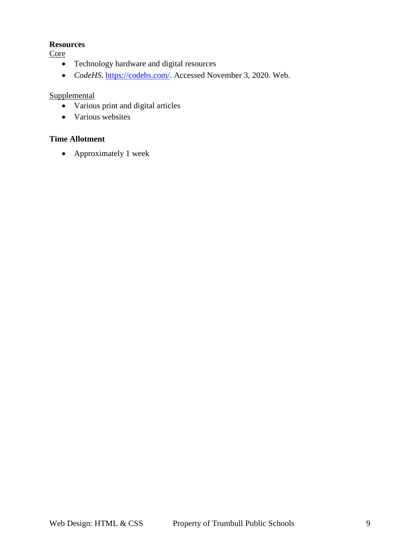### **Resources**

**Core** 

- Technology hardware and digital resources
- CodeHS. [https://codehs.com/.](https://codehs.com/) Accessed November 3, 2020. Web.

## **Supplemental**

- Various print and digital articles
- Various websites

## **Time Allotment**

• Approximately 1 week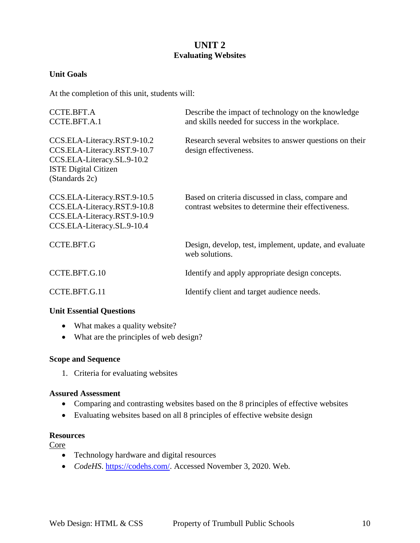## **UNIT 2 Evaluating Websites**

## **Unit Goals**

At the completion of this unit, students will:

| <b>CCTE.BFT.A</b><br>CCTE.BFT.A.1                                                                                                         | Describe the impact of technology on the knowledge<br>and skills needed for success in the workplace.    |  |  |
|-------------------------------------------------------------------------------------------------------------------------------------------|----------------------------------------------------------------------------------------------------------|--|--|
| CCS.ELA-Literacy.RST.9-10.2<br>CCS.ELA-Literacy.RST.9-10.7<br>CCS.ELA-Literacy.SL.9-10.2<br><b>ISTE Digital Citizen</b><br>(Standards 2c) | Research several websites to answer questions on their<br>design effectiveness.                          |  |  |
| CCS.ELA-Literacy.RST.9-10.5<br>CCS.ELA-Literacy.RST.9-10.8<br>CCS.ELA-Literacy.RST.9-10.9<br>CCS.ELA-Literacy.SL.9-10.4                   | Based on criteria discussed in class, compare and<br>contrast websites to determine their effectiveness. |  |  |
| <b>CCTE.BFT.G</b>                                                                                                                         | Design, develop, test, implement, update, and evaluate<br>web solutions.                                 |  |  |
| CCTE.BFT.G.10                                                                                                                             | Identify and apply appropriate design concepts.                                                          |  |  |
| CCTE.BFT.G.11                                                                                                                             | Identify client and target audience needs.                                                               |  |  |

## **Unit Essential Questions**

- What makes a quality website?
- What are the principles of web design?

#### **Scope and Sequence**

1. Criteria for evaluating websites

#### **Assured Assessment**

- Comparing and contrasting websites based on the 8 principles of effective websites
- Evaluating websites based on all 8 principles of effective website design

#### **Resources**

Core

- Technology hardware and digital resources
- *CodeHS*. [https://codehs.com/.](https://codehs.com/) Accessed November 3, 2020. Web.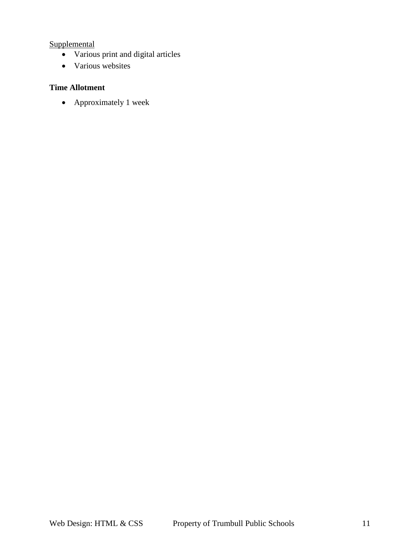**Supplemental** 

- Various print and digital articles
- Various websites

## **Time Allotment**

Approximately 1 week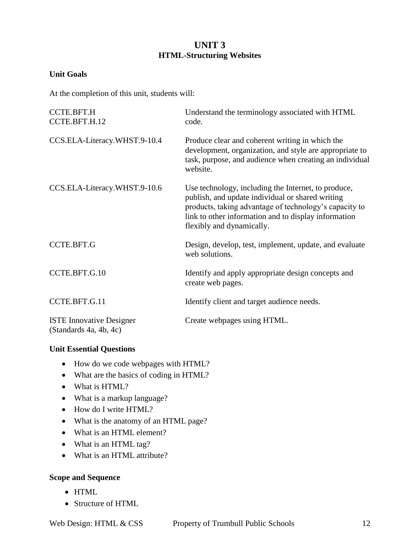## **UNIT 3 HTML-Structuring Websites**

## **Unit Goals**

At the completion of this unit, students will:

| CCTE.BFT.H<br>CCTE.BFT.H.12                               | Understand the terminology associated with HTML<br>code.                                                                                                                                                                                               |
|-----------------------------------------------------------|--------------------------------------------------------------------------------------------------------------------------------------------------------------------------------------------------------------------------------------------------------|
| CCS.ELA-Literacy.WHST.9-10.4                              | Produce clear and coherent writing in which the<br>development, organization, and style are appropriate to<br>task, purpose, and audience when creating an individual<br>website.                                                                      |
| CCS.ELA-Literacy.WHST.9-10.6                              | Use technology, including the Internet, to produce,<br>publish, and update individual or shared writing<br>products, taking advantage of technology's capacity to<br>link to other information and to display information<br>flexibly and dynamically. |
| <b>CCTE.BFT.G</b>                                         | Design, develop, test, implement, update, and evaluate<br>web solutions.                                                                                                                                                                               |
| CCTE.BFT.G.10                                             | Identify and apply appropriate design concepts and<br>create web pages.                                                                                                                                                                                |
| CCTE.BFT.G.11                                             | Identify client and target audience needs.                                                                                                                                                                                                             |
| <b>ISTE Innovative Designer</b><br>(Standards 4a, 4b, 4c) | Create webpages using HTML.                                                                                                                                                                                                                            |

## **Unit Essential Questions**

- How do we code webpages with HTML?
- What are the basics of coding in HTML?
- What is HTML?
- What is a markup language?
- How do I write HTML?
- What is the anatomy of an HTML page?
- What is an HTML element?
- What is an HTML tag?
- What is an HTML attribute?

## **Scope and Sequence**

- HTML
- Structure of HTML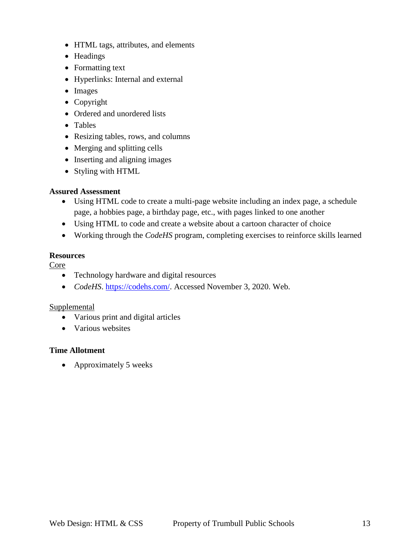- HTML tags, attributes, and elements
- Headings
- Formatting text
- Hyperlinks: Internal and external
- Images
- Copyright
- Ordered and unordered lists
- Tables
- Resizing tables, rows, and columns
- Merging and splitting cells
- Inserting and aligning images
- Styling with HTML

## **Assured Assessment**

- Using HTML code to create a multi-page website including an index page, a schedule page, a hobbies page, a birthday page, etc., with pages linked to one another
- Using HTML to code and create a website about a cartoon character of choice
- Working through the *CodeHS* program, completing exercises to reinforce skills learned

## **Resources**

Core

- Technology hardware and digital resources
- *CodeHS*. [https://codehs.com/.](https://codehs.com/) Accessed November 3, 2020. Web.

## Supplemental

- Various print and digital articles
- Various websites

## **Time Allotment**

• Approximately 5 weeks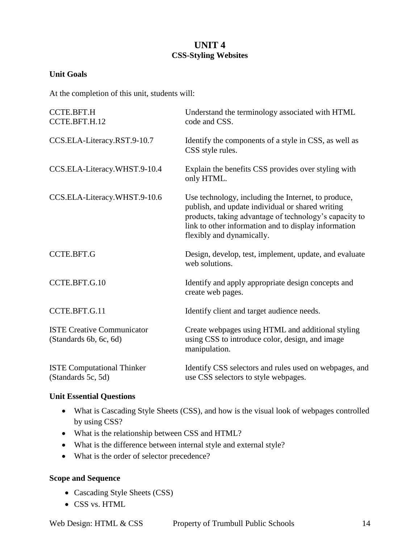## **UNIT 4 CSS-Styling Websites**

## **Unit Goals**

At the completion of this unit, students will:

| <b>CCTE.BFT.H</b><br>CCTE.BFT.H.12                          | Understand the terminology associated with HTML<br>code and CSS.                                                                                                                                                                                       |  |  |  |
|-------------------------------------------------------------|--------------------------------------------------------------------------------------------------------------------------------------------------------------------------------------------------------------------------------------------------------|--|--|--|
| CCS.ELA-Literacy.RST.9-10.7                                 | Identify the components of a style in CSS, as well as<br>CSS style rules.                                                                                                                                                                              |  |  |  |
| CCS.ELA-Literacy.WHST.9-10.4                                | Explain the benefits CSS provides over styling with<br>only HTML.                                                                                                                                                                                      |  |  |  |
| CCS.ELA-Literacy.WHST.9-10.6                                | Use technology, including the Internet, to produce,<br>publish, and update individual or shared writing<br>products, taking advantage of technology's capacity to<br>link to other information and to display information<br>flexibly and dynamically. |  |  |  |
| <b>CCTE.BFT.G</b>                                           | Design, develop, test, implement, update, and evaluate<br>web solutions.                                                                                                                                                                               |  |  |  |
| CCTE.BFT.G.10                                               | Identify and apply appropriate design concepts and<br>create web pages.                                                                                                                                                                                |  |  |  |
| CCTE.BFT.G.11                                               | Identify client and target audience needs.                                                                                                                                                                                                             |  |  |  |
| <b>ISTE Creative Communicator</b><br>(Standards 6b, 6c, 6d) | Create webpages using HTML and additional styling<br>using CSS to introduce color, design, and image<br>manipulation.                                                                                                                                  |  |  |  |
| <b>ISTE Computational Thinker</b><br>(Standards 5c, 5d)     | Identify CSS selectors and rules used on webpages, and<br>use CSS selectors to style webpages.                                                                                                                                                         |  |  |  |

#### **Unit Essential Questions**

- What is Cascading Style Sheets (CSS), and how is the visual look of webpages controlled by using CSS?
- What is the relationship between CSS and HTML?
- What is the difference between internal style and external style?
- What is the order of selector precedence?

#### **Scope and Sequence**

- Cascading Style Sheets (CSS)
- CSS vs. HTML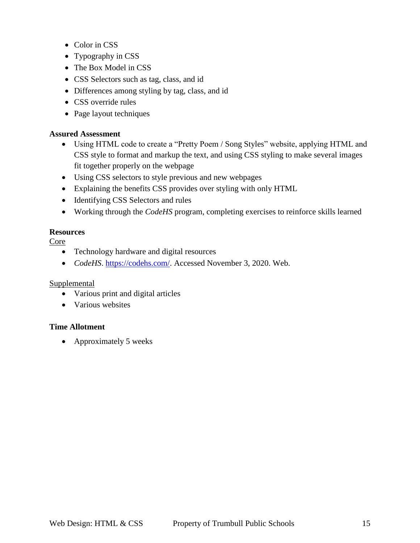- Color in CSS
- Typography in CSS
- The Box Model in CSS
- CSS Selectors such as tag, class, and id
- Differences among styling by tag, class, and id
- CSS override rules
- Page layout techniques

## **Assured Assessment**

- Using HTML code to create a "Pretty Poem / Song Styles" website, applying HTML and CSS style to format and markup the text, and using CSS styling to make several images fit together properly on the webpage
- Using CSS selectors to style previous and new webpages
- Explaining the benefits CSS provides over styling with only HTML
- Identifying CSS Selectors and rules
- Working through the *CodeHS* program, completing exercises to reinforce skills learned

## **Resources**

## Core

- Technology hardware and digital resources
- *CodeHS*. [https://codehs.com/.](https://codehs.com/) Accessed November 3, 2020. Web.

#### Supplemental

- Various print and digital articles
- Various websites

## **Time Allotment**

• Approximately 5 weeks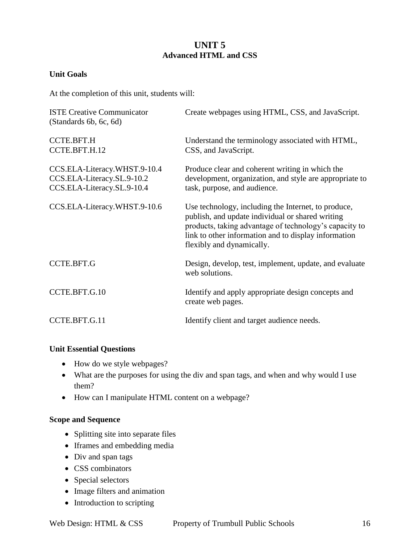## **UNIT 5 Advanced HTML and CSS**

## **Unit Goals**

At the completion of this unit, students will:

| <b>ISTE Creative Communicator</b><br>(Standards 6b, 6c, 6d)                              | Create webpages using HTML, CSS, and JavaScript.                                                                                                                                                                                                       |
|------------------------------------------------------------------------------------------|--------------------------------------------------------------------------------------------------------------------------------------------------------------------------------------------------------------------------------------------------------|
| CCTE.BFT.H<br>CCTE.BFT.H.12                                                              | Understand the terminology associated with HTML,<br>CSS, and JavaScript.                                                                                                                                                                               |
| CCS.ELA-Literacy.WHST.9-10.4<br>CCS.ELA-Literacy.SL.9-10.2<br>CCS.ELA-Literacy.SL.9-10.4 | Produce clear and coherent writing in which the<br>development, organization, and style are appropriate to<br>task, purpose, and audience.                                                                                                             |
| CCS.ELA-Literacy.WHST.9-10.6                                                             | Use technology, including the Internet, to produce,<br>publish, and update individual or shared writing<br>products, taking advantage of technology's capacity to<br>link to other information and to display information<br>flexibly and dynamically. |
| <b>CCTE.BFT.G</b>                                                                        | Design, develop, test, implement, update, and evaluate<br>web solutions.                                                                                                                                                                               |
| CCTE.BFT.G.10                                                                            | Identify and apply appropriate design concepts and<br>create web pages.                                                                                                                                                                                |
| CCTE.BFT.G.11                                                                            | Identify client and target audience needs.                                                                                                                                                                                                             |

## **Unit Essential Questions**

- How do we style webpages?
- What are the purposes for using the div and span tags, and when and why would I use them?
- How can I manipulate HTML content on a webpage?

## **Scope and Sequence**

- Splitting site into separate files
- Iframes and embedding media
- Div and span tags
- CSS combinators
- Special selectors
- Image filters and animation
- Introduction to scripting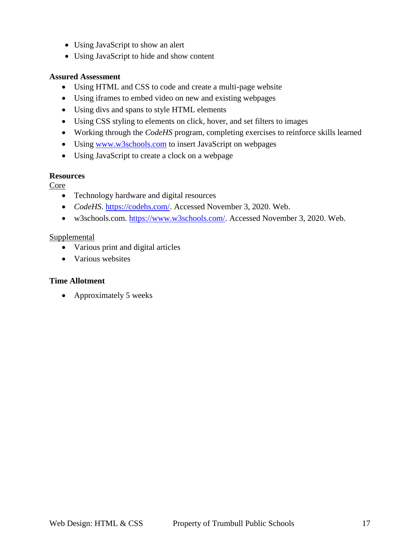- Using JavaScript to show an alert
- Using JavaScript to hide and show content

## **Assured Assessment**

- Using HTML and CSS to code and create a multi-page website
- Using iframes to embed video on new and existing webpages
- Using divs and spans to style HTML elements
- Using CSS styling to elements on click, hover, and set filters to images
- Working through the *CodeHS* program, completing exercises to reinforce skills learned
- Using [www.w3schools.com](http://www.w3schools.com/) to insert JavaScript on webpages
- Using JavaScript to create a clock on a webpage

## **Resources**

Core

- Technology hardware and digital resources
- *CodeHS*. [https://codehs.com/.](https://codehs.com/) Accessed November 3, 2020. Web.
- w3schools.com. [https://www.w3schools.com/.](https://www.w3schools.com/) Accessed November 3, 2020. Web.

## **Supplemental**

- Various print and digital articles
- Various websites

## **Time Allotment**

• Approximately 5 weeks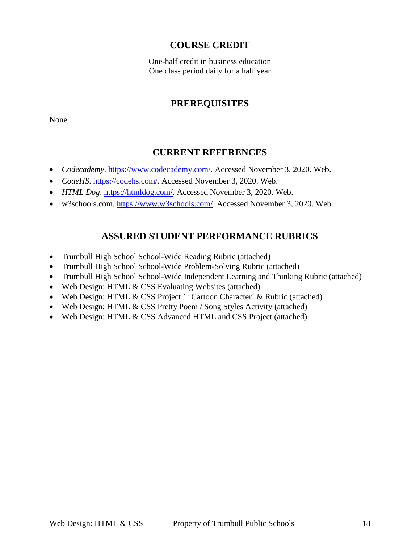## **COURSE CREDIT**

One-half credit in business education One class period daily for a half year

## **PREREQUISITES**

None

## **CURRENT REFERENCES**

- *Codecademy*. [https://www.codecademy.com/.](https://www.codecademy.com/) Accessed November 3, 2020. Web.
- CodeHS. [https://codehs.com/.](https://codehs.com/) Accessed November 3, 2020. Web.
- *HTML Dog*. [https://htmldog.com/.](https://htmldog.com/) Accessed November 3, 2020. Web.
- w3schools.com. [https://www.w3schools.com/.](https://www.w3schools.com/) Accessed November 3, 2020. Web.

## **ASSURED STUDENT PERFORMANCE RUBRICS**

- Trumbull High School School-Wide Reading Rubric (attached)
- Trumbull High School School-Wide Problem-Solving Rubric (attached)
- Trumbull High School School-Wide Independent Learning and Thinking Rubric (attached)
- Web Design: HTML & CSS Evaluating Websites (attached)
- Web Design: HTML & CSS Project 1: Cartoon Character! & Rubric (attached)
- Web Design: HTML & CSS Pretty Poem / Song Styles Activity (attached)
- Web Design: HTML & CSS Advanced HTML and CSS Project (attached)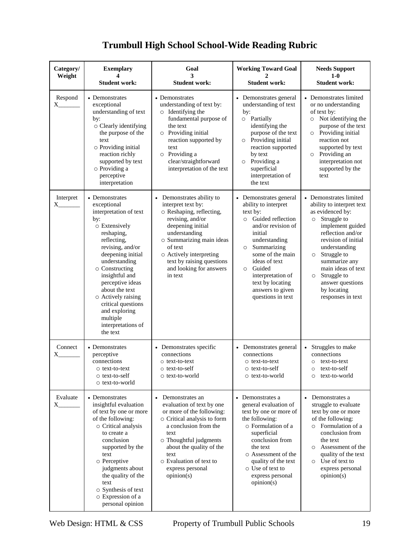| <b>Trumbull High School School-Wide Reading Rubric</b> |  |  |
|--------------------------------------------------------|--|--|
|                                                        |  |  |

| Category/<br>Weight      | <b>Exemplary</b><br><b>Student work:</b>                                                                                                                                                                                                                                                                                                                    | Goal<br>3<br><b>Student work:</b>                                                                                                                                                                                                                                          | <b>Working Toward Goal</b><br><b>Student work:</b>                                                                                                                                                                                                                                                                 | <b>Needs Support</b><br>$1-0$<br><b>Student work:</b>                                                                                                                                                                                                                                                                        |
|--------------------------|-------------------------------------------------------------------------------------------------------------------------------------------------------------------------------------------------------------------------------------------------------------------------------------------------------------------------------------------------------------|----------------------------------------------------------------------------------------------------------------------------------------------------------------------------------------------------------------------------------------------------------------------------|--------------------------------------------------------------------------------------------------------------------------------------------------------------------------------------------------------------------------------------------------------------------------------------------------------------------|------------------------------------------------------------------------------------------------------------------------------------------------------------------------------------------------------------------------------------------------------------------------------------------------------------------------------|
| Respond<br>X             | • Demonstrates<br>exceptional<br>understanding of text<br>by:<br>o Clearly identifying<br>the purpose of the<br>text<br>○ Providing initial<br>reaction richly<br>supported by text<br>o Providing a<br>perceptive<br>interpretation                                                                                                                        | • Demonstrates<br>understanding of text by:<br>o Identifying the<br>fundamental purpose of<br>the text<br>$\circ$ Providing initial<br>reaction supported by<br>text<br>$\circ$ Providing a<br>clear/straightforward<br>interpretation of the text                         | • Demonstrates general<br>understanding of text<br>by:<br>o Partially<br>identifying the<br>purpose of the text<br>Providing initial<br>reaction supported<br>by text<br>Providing a<br>$\circ$<br>superficial<br>interpretation of<br>the text                                                                    | • Demonstrates limited<br>or no understanding<br>of text by:<br>Not identifying the<br>$\circ$<br>purpose of the text<br>O Providing initial<br>reaction not<br>supported by text<br>o Providing an<br>interpretation not<br>supported by the<br>text                                                                        |
| Interpret<br>$\rm X_{-}$ | • Demonstrates<br>exceptional<br>interpretation of text<br>by:<br>o Extensively<br>reshaping,<br>reflecting,<br>revising, and/or<br>deepening initial<br>understanding<br>o Constructing<br>insightful and<br>perceptive ideas<br>about the text<br>o Actively raising<br>critical questions<br>and exploring<br>multiple<br>interpretations of<br>the text | • Demonstrates ability to<br>interpret text by:<br>o Reshaping, reflecting,<br>revising, and/or<br>deepening initial<br>understanding<br>o Summarizing main ideas<br>of text<br>o Actively interpreting<br>text by raising questions<br>and looking for answers<br>in text | • Demonstrates general<br>ability to interpret<br>text by:<br>Guided reflection<br>$\circ$<br>and/or revision of<br>initial<br>understanding<br>Summarizing<br>$\circ$<br>some of the main<br>ideas of text<br>Guided<br>$\circ$<br>interpretation of<br>text by locating<br>answers to given<br>questions in text | • Demonstrates limited<br>ability to interpret text<br>as evidenced by:<br>o Struggle to<br>implement guided<br>reflection and/or<br>revision of initial<br>understanding<br>Struggle to<br>$\circ$<br>summarize any<br>main ideas of text<br>Struggle to<br>$\circ$<br>answer questions<br>by locating<br>responses in text |
| Connect<br>X.            | • Demonstrates<br>perceptive<br>connections<br>o text-to-text<br>o text-to-self<br>$\circ$ text-to-world                                                                                                                                                                                                                                                    | • Demonstrates specific<br>connections<br>$\circ$ text-to-text<br>$\circ$ text-to-self<br>○ text-to-world                                                                                                                                                                  | • Demonstrates general<br>connections<br>o text-to-text<br>o text-to-self<br>$\circ$ text-to-world                                                                                                                                                                                                                 | • Struggles to make<br>connections<br>$\circ$ text-to-text<br>text-to-self<br>text-to-world<br>$\circ$                                                                                                                                                                                                                       |
| Evaluate<br>X.           | • Demonstrates<br>insightful evaluation<br>of text by one or more<br>of the following:<br>o Critical analysis<br>to create a<br>conclusion<br>supported by the<br>text<br>o Perceptive<br>judgments about<br>the quality of the<br>text<br>o Synthesis of text<br>o Expression of a<br>personal opinion                                                     | • Demonstrates an<br>evaluation of text by one<br>or more of the following:<br>o Critical analysis to form<br>a conclusion from the<br>text<br>o Thoughtful judgments<br>about the quality of the<br>text<br>○ Evaluation of text to<br>express personal<br>opinion(s)     | Demonstrates a<br>general evaluation of<br>text by one or more of<br>the following:<br>o Formulation of a<br>superficial<br>conclusion from<br>the text<br>o Assessment of the<br>quality of the text<br>o Use of text to<br>express personal<br>opinion(s)                                                        | Demonstrates a<br>struggle to evaluate<br>text by one or more<br>of the following:<br>o Formulation of a<br>conclusion from<br>the text<br>Assessment of the<br>$\circ$<br>quality of the text<br>O Use of text to<br>express personal<br>opinion(s)                                                                         |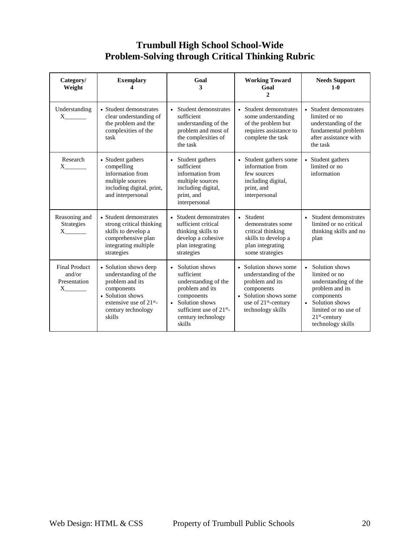## **Trumbull High School School-Wide Problem-Solving through Critical Thinking Rubric**

| Category/<br>Weight                                                        | <b>Exemplary</b>                                                                                                                                                   | Goal<br>3                                                                                                                                                                    | <b>Working Toward</b><br>Goal<br>2                                                                                                                               | <b>Needs Support</b><br>$1-0$                                                                                                                                                |
|----------------------------------------------------------------------------|--------------------------------------------------------------------------------------------------------------------------------------------------------------------|------------------------------------------------------------------------------------------------------------------------------------------------------------------------------|------------------------------------------------------------------------------------------------------------------------------------------------------------------|------------------------------------------------------------------------------------------------------------------------------------------------------------------------------|
| Understanding<br>$X \sim$                                                  | • Student demonstrates<br>clear understanding of<br>the problem and the<br>complexities of the<br>task                                                             | • Student demonstrates<br>sufficient<br>understanding of the<br>problem and most of<br>the complexities of<br>the task                                                       | • Student demonstrates<br>some understanding<br>of the problem but<br>requires assistance to<br>complete the task                                                | • Student demonstrates<br>limited or no<br>understanding of the<br>fundamental problem<br>after assistance with<br>the task                                                  |
| Research<br>$X \sim$                                                       | • Student gathers<br>compelling<br>information from<br>multiple sources<br>including digital, print,<br>and interpersonal                                          | • Student gathers<br>sufficient<br>information from<br>multiple sources<br>including digital,<br>print, and<br>interpersonal                                                 | • Student gathers some<br>information from<br>few sources<br>including digital,<br>print, and<br>interpersonal                                                   | • Student gathers<br>limited or no<br>information                                                                                                                            |
| Reasoning and<br>Strategies                                                | • Student demonstrates<br>strong critical thinking<br>skills to develop a<br>comprehensive plan<br>integrating multiple<br>strategies                              | • Student demonstrates<br>sufficient critical<br>thinking skills to<br>develop a cohesive<br>plan integrating<br>strategies                                                  | • Student<br>demonstrates some<br>critical thinking<br>skills to develop a<br>plan integrating<br>some strategies                                                | Student demonstrates<br>limited or no critical<br>thinking skills and no<br>plan                                                                                             |
| <b>Final Product</b><br>and/or<br>Presentation<br>$X$ <sub>_________</sub> | • Solution shows deep<br>understanding of the<br>problem and its<br>components<br>• Solution shows<br>extensive use of $21^{st}$ -<br>century technology<br>skills | • Solution shows<br>sufficient<br>understanding of the<br>problem and its<br>components<br>• Solution shows<br>sufficient use of $21^{st}$ -<br>century technology<br>skills | • Solution shows some<br>understanding of the<br>problem and its<br>components<br>• Solution shows some<br>use of 21 <sup>st</sup> -century<br>technology skills | Solution shows<br>limited or no<br>understanding of the<br>problem and its<br>components<br>• Solution shows<br>limited or no use of<br>$21st$ -century<br>technology skills |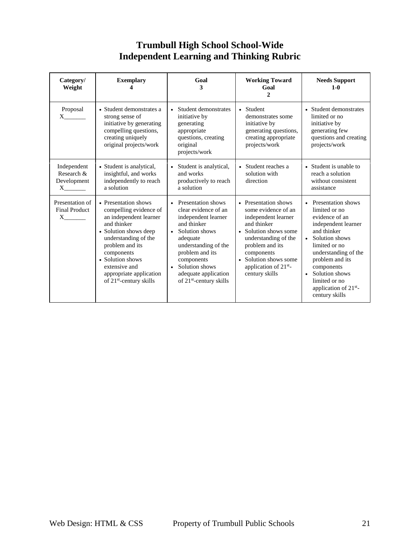## **Trumbull High School School-Wide Independent Learning and Thinking Rubric**

| Category/<br>Weight                                  | <b>Exemplary</b>                                                                                                                                                                                                                                                                 | Goal<br>3                                                                                                                                                                                                                                                                  | <b>Working Toward</b><br>Goal<br>2                                                                                                                                                                                                        | <b>Needs Support</b><br>$1-0$                                                                                                                                                                                                                                                 |
|------------------------------------------------------|----------------------------------------------------------------------------------------------------------------------------------------------------------------------------------------------------------------------------------------------------------------------------------|----------------------------------------------------------------------------------------------------------------------------------------------------------------------------------------------------------------------------------------------------------------------------|-------------------------------------------------------------------------------------------------------------------------------------------------------------------------------------------------------------------------------------------|-------------------------------------------------------------------------------------------------------------------------------------------------------------------------------------------------------------------------------------------------------------------------------|
| Proposal<br>$X \sim$                                 | • Student demonstrates a<br>strong sense of<br>initiative by generating<br>compelling questions,<br>creating uniquely<br>original projects/work                                                                                                                                  | • Student demonstrates<br>initiative by<br>generating<br>appropriate<br>questions, creating<br>original<br>projects/work                                                                                                                                                   | • Student<br>demonstrates some<br>initiative by<br>generating questions,<br>creating appropriate<br>projects/work                                                                                                                         | • Student demonstrates<br>limited or no<br>initiative by<br>generating few<br>questions and creating<br>projects/work                                                                                                                                                         |
| Independent<br>Research &<br>Development<br>$X \sim$ | • Student is analytical,<br>insightful, and works<br>independently to reach<br>a solution                                                                                                                                                                                        | • Student is analytical,<br>and works<br>productively to reach<br>a solution                                                                                                                                                                                               | • Student reaches a<br>solution with<br>direction                                                                                                                                                                                         | • Student is unable to<br>reach a solution<br>without consistent<br>assistance                                                                                                                                                                                                |
| Presentation of<br><b>Final Product</b><br>$X \sim$  | • Presentation shows<br>compelling evidence of<br>an independent learner<br>and thinker<br>• Solution shows deep<br>understanding of the<br>problem and its<br>components<br>• Solution shows<br>extensive and<br>appropriate application<br>of 21 <sup>st</sup> -century skills | • Presentation shows<br>clear evidence of an<br>independent learner<br>and thinker<br>Solution shows<br>$\bullet$<br>adequate<br>understanding of the<br>problem and its<br>components<br>Solution shows<br>$\bullet$<br>adequate application<br>of $21st$ -century skills | • Presentation shows<br>some evidence of an<br>independent learner<br>and thinker<br>• Solution shows some<br>understanding of the<br>problem and its<br>components<br>• Solution shows some<br>application of $21st$ -<br>century skills | • Presentation shows<br>limited or no<br>evidence of an<br>independent learner<br>and thinker<br>• Solution shows<br>limited or no<br>understanding of the<br>problem and its<br>components<br>• Solution shows<br>limited or no<br>application of $21st$ -<br>century skills |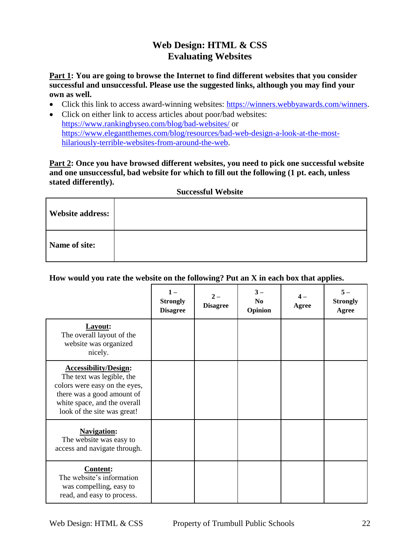## **Web Design: HTML & CSS Evaluating Websites**

**Part 1: You are going to browse the Internet to find different websites that you consider successful and unsuccessful. Please use the suggested links, although you may find your own as well.**

- Click this link to access award-winning websites: [https://winners.webbyawards.com/winners.](https://winners.webbyawards.com/winners)
- Click on either link to access articles about poor/bad websites[:](https://blog.rankingbyseo.com/bad-websites/) <https://www.rankingbyseo.com/blog/bad-websites/> or [https://www.elegantthemes.com/blog/resources/bad-web-design-a-look-at-the-most](https://www.elegantthemes.com/blog/resources/bad-web-design-a-look-at-the-most-hilariously-terrible-websites-from-around-the-web)[hilariously-terrible-websites-from-around-the-web.](https://www.elegantthemes.com/blog/resources/bad-web-design-a-look-at-the-most-hilariously-terrible-websites-from-around-the-web)

**Part 2: Once you have browsed different websites, you need to pick one successful website and one unsuccessful, bad website for which to fill out the following (1 pt. each, unless stated differently).**

**Successful Website**

| <b>Website address:</b> |  |
|-------------------------|--|
| Name of site:           |  |

**How would you rate the website on the following? Put an X in each box that applies.**

|                                                                                                                                                                                         | <b>Strongly</b><br><b>Disagree</b> | $\mathbf{2}$ -<br><b>Disagree</b> | $3-$<br>No<br>Opinion | Agree | $5-$<br><b>Strongly</b><br>Agree |
|-----------------------------------------------------------------------------------------------------------------------------------------------------------------------------------------|------------------------------------|-----------------------------------|-----------------------|-------|----------------------------------|
| Layout:<br>The overall layout of the<br>website was organized<br>nicely.                                                                                                                |                                    |                                   |                       |       |                                  |
| <b>Accessibility/Design:</b><br>The text was legible, the<br>colors were easy on the eyes,<br>there was a good amount of<br>white space, and the overall<br>look of the site was great! |                                    |                                   |                       |       |                                  |
| <b>Navigation:</b><br>The website was easy to<br>access and navigate through.                                                                                                           |                                    |                                   |                       |       |                                  |
| <b>Content:</b><br>The website's information<br>was compelling, easy to<br>read, and easy to process.                                                                                   |                                    |                                   |                       |       |                                  |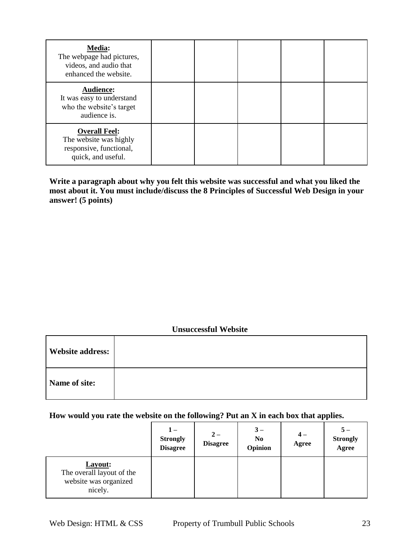| <b>Media:</b><br>The webpage had pictures,<br>videos, and audio that<br>enhanced the website.   |  |  |  |
|-------------------------------------------------------------------------------------------------|--|--|--|
| <b>Audience:</b><br>It was easy to understand<br>who the website's target<br>audience is.       |  |  |  |
| <b>Overall Feel:</b><br>The website was highly<br>responsive, functional,<br>quick, and useful. |  |  |  |

**Write a paragraph about why you felt this website was successful and what you liked the**  most about it. You must include/discuss the 8 Principles of Successful Web Design in your **answer! (5 points)**

## **Unsuccessful Website**

| <b>Website address:</b> |  |
|-------------------------|--|
| Name of site:           |  |

## **How would you rate the website on the following? Put an X in each box that applies.**

|                                                                          | $1 -$<br><b>Strongly</b><br><b>Disagree</b> | $2-$<br><b>Disagree</b> | $3-$<br>No<br>Opinion | $4-$<br>Agree | <b>Strongly</b><br>Agree |
|--------------------------------------------------------------------------|---------------------------------------------|-------------------------|-----------------------|---------------|--------------------------|
| Layout:<br>The overall layout of the<br>website was organized<br>nicely. |                                             |                         |                       |               |                          |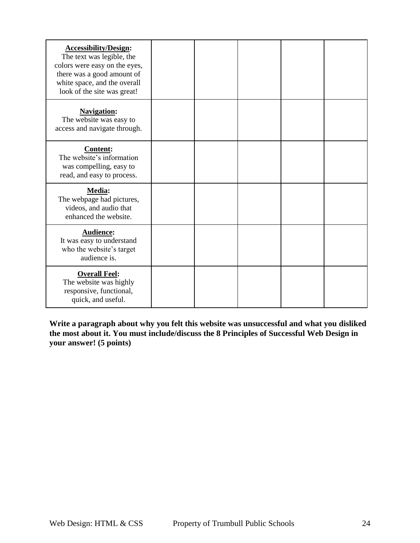| <b>Accessibility/Design:</b><br>The text was legible, the<br>colors were easy on the eyes,<br>there was a good amount of<br>white space, and the overall<br>look of the site was great! |  |  |  |
|-----------------------------------------------------------------------------------------------------------------------------------------------------------------------------------------|--|--|--|
| <b>Navigation:</b><br>The website was easy to<br>access and navigate through.                                                                                                           |  |  |  |
| Content:<br>The website's information<br>was compelling, easy to<br>read, and easy to process.                                                                                          |  |  |  |
| Media:<br>The webpage had pictures,<br>videos, and audio that<br>enhanced the website.                                                                                                  |  |  |  |
| <b>Audience:</b><br>It was easy to understand<br>who the website's target<br>audience is.                                                                                               |  |  |  |
| <b>Overall Feel:</b><br>The website was highly<br>responsive, functional,<br>quick, and useful.                                                                                         |  |  |  |

**Write a paragraph about why you felt this website was unsuccessful and what you disliked the most about it. You must include/discuss the 8 Principles of Successful Web Design in your answer! (5 points)**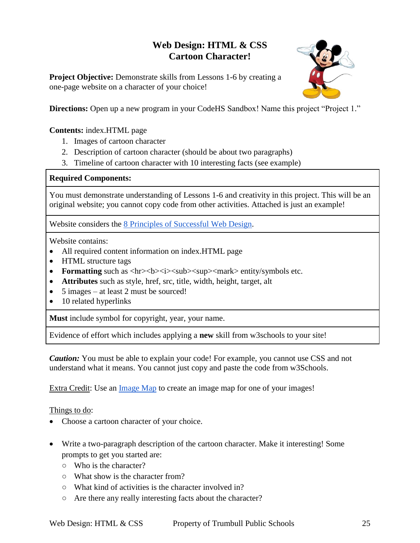## **Web Design: HTML & CSS Cartoon Character!**

**Project Objective:** Demonstrate skills from Lessons 1-6 by creating a one-page website on a character of your choice!



**Directions:** Open up a new program in your CodeHS Sandbox! Name this project "Project 1."

## **Contents:** index.HTML page

- 1. Images of cartoon character
- 2. Description of cartoon character (should be about two paragraphs)
- 3. Timeline of cartoon character with 10 interesting facts (see example)

#### **Required Components:**

You must demonstrate understanding of Lessons 1-6 and creativity in this project. This will be an original website; you cannot copy code from other activities. Attached is just an example!

Website considers the [8 Principles of Successful Web Design.](https://www.cleverism.com/web-design-principles-successful-websites/)

Website contains:

- All required content information on index.HTML page
- HTML structure tags
- Formatting such as <hr>>>>>><i><sub><sup><mark> entity/symbols etc.
- **Attributes** such as style, href, src, title, width, height, target, alt
- 5 images at least 2 must be sourced!
- 10 related hyperlinks

**Must** include symbol for copyright, year, your name.

Evidence of effort which includes applying a **new** skill from w3schools to your site!

*Caution:* You must be able to explain your code! For example, you cannot use CSS and not understand what it means. You cannot just copy and paste the code from w3Schools.

Extra Credit: Use an [Image Map](https://www.image-map.net/) to create an image map for one of your images!

Things to do:

- Choose a cartoon character of your choice.
- Write a two-paragraph description of the cartoon character. Make it interesting! Some prompts to get you started are:
	- Who is the character?
	- What show is the character from?
	- What kind of activities is the character involved in?
	- Are there any really interesting facts about the character?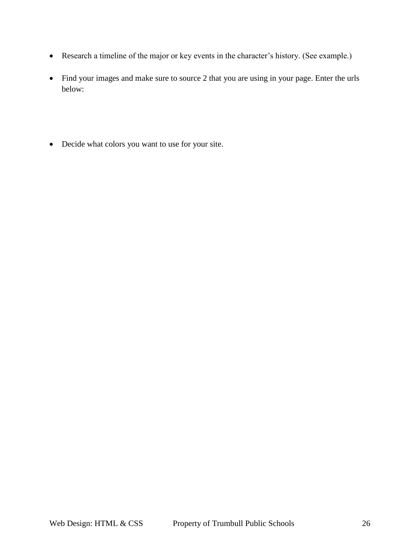- Research a timeline of the major or key events in the character's history. (See example.)
- Find your images and make sure to source 2 that you are using in your page. Enter the urls below:
- Decide what colors you want to use for your site.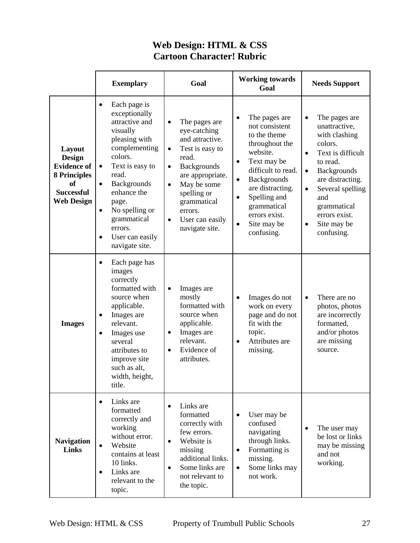|                                                                                                               | <b>Exemplary</b>                                                                                                                                                                                                                                                                                                                     | Goal                                                                                                                                                                                                                                                                    | <b>Working towards</b><br>Goal                                                                                                                                                                                                                                                                | <b>Needs Support</b>                                                                                                                                                                                                                                                                           |
|---------------------------------------------------------------------------------------------------------------|--------------------------------------------------------------------------------------------------------------------------------------------------------------------------------------------------------------------------------------------------------------------------------------------------------------------------------------|-------------------------------------------------------------------------------------------------------------------------------------------------------------------------------------------------------------------------------------------------------------------------|-----------------------------------------------------------------------------------------------------------------------------------------------------------------------------------------------------------------------------------------------------------------------------------------------|------------------------------------------------------------------------------------------------------------------------------------------------------------------------------------------------------------------------------------------------------------------------------------------------|
| Layout<br>Design<br><b>Evidence of</b><br><b>8 Principles</b><br>of<br><b>Successful</b><br><b>Web Design</b> | Each page is<br>$\bullet$<br>exceptionally<br>attractive and<br>visually<br>pleasing with<br>complementing<br>colors.<br>Text is easy to<br>$\bullet$<br>read.<br><b>Backgrounds</b><br>$\bullet$<br>enhance the<br>page.<br>No spelling or<br>$\bullet$<br>grammatical<br>errors.<br>User can easily<br>$\bullet$<br>navigate site. | The pages are<br>eye-catching<br>and attractive.<br>Test is easy to<br>$\bullet$<br>read.<br><b>Backgrounds</b><br>$\bullet$<br>are appropriate.<br>May be some<br>$\bullet$<br>spelling or<br>grammatical<br>errors.<br>User can easily<br>$\bullet$<br>navigate site. | The pages are<br>$\bullet$<br>not consistent<br>to the theme<br>throughout the<br>website.<br>Text may be<br>$\bullet$<br>difficult to read.<br><b>Backgrounds</b><br>$\bullet$<br>are distracting.<br>Spelling and<br>$\bullet$<br>grammatical<br>errors exist.<br>Site may be<br>confusing. | The pages are<br>$\bullet$<br>unattractive,<br>with clashing<br>colors.<br>Text is difficult<br>$\bullet$<br>to read.<br><b>Backgrounds</b><br>$\bullet$<br>are distracting.<br>Several spelling<br>$\bullet$<br>and<br>grammatical<br>errors exist.<br>Site may be<br>$\bullet$<br>confusing. |
| <b>Images</b>                                                                                                 | Each page has<br>$\bullet$<br>images<br>correctly<br>formatted with<br>source when<br>applicable.<br>Images are<br>$\bullet$<br>relevant.<br>Images use<br>$\bullet$<br>several<br>attributes to<br>improve site<br>such as alt,<br>width, height,<br>title.                                                                         | Images are<br>$\bullet$<br>mostly<br>formatted with<br>source when<br>applicable.<br>Images are<br>$\bullet$<br>relevant.<br>Evidence of<br>$\bullet$<br>attributes.                                                                                                    | Images do not<br>$\bullet$<br>work on every<br>page and do not<br>fit with the<br>topic.<br>Attributes are<br>$\bullet$<br>missing.                                                                                                                                                           | There are no<br>$\bullet$<br>photos, photos<br>are incorrectly<br>formatted,<br>and/or photos<br>are missing<br>source.                                                                                                                                                                        |
| <b>Navigation</b><br><b>Links</b>                                                                             | Links are<br>$\bullet$<br>formatted<br>correctly and<br>working<br>without error.<br>Website<br>contains at least<br>10 links.<br>Links are<br>$\bullet$<br>relevant to the<br>topic.                                                                                                                                                | Links are<br>$\bullet$<br>formatted<br>correctly with<br>few errors.<br>Website is<br>missing<br>additional links.<br>Some links are<br>$\bullet$<br>not relevant to<br>the topic.                                                                                      | User may be<br>$\bullet$<br>confused<br>navigating<br>through links.<br>Formatting is<br>$\bullet$<br>missing.<br>Some links may<br>$\bullet$<br>not work.                                                                                                                                    | The user may<br>be lost or links<br>may be missing<br>and not<br>working.                                                                                                                                                                                                                      |

## **Web Design: HTML & CSS Cartoon Character! Rubric**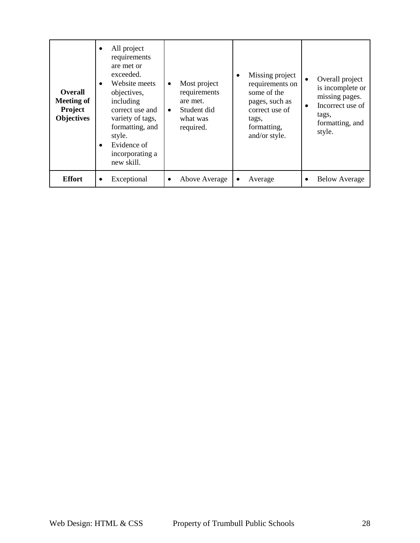| <b>Overall</b><br><b>Meeting of</b><br>Project<br><b>Objectives</b> | $\bullet$<br>$\bullet$ | All project<br>requirements<br>are met or<br>exceeded.<br>Website meets<br>objectives,<br>including<br>correct use and<br>variety of tags,<br>formatting, and<br>style.<br>Evidence of<br>incorporating a<br>new skill. | $\bullet$<br>$\bullet$ | Most project<br>requirements<br>are met.<br>Student did<br>what was<br>required. | ٠ | Missing project<br>requirements on<br>some of the<br>pages, such as<br>correct use of<br>tags,<br>formatting,<br>and/or style. | $\bullet$ | Overall project<br>is incomplete or<br>missing pages.<br>Incorrect use of<br>tags,<br>formatting, and<br>style. |
|---------------------------------------------------------------------|------------------------|-------------------------------------------------------------------------------------------------------------------------------------------------------------------------------------------------------------------------|------------------------|----------------------------------------------------------------------------------|---|--------------------------------------------------------------------------------------------------------------------------------|-----------|-----------------------------------------------------------------------------------------------------------------|
| <b>Effort</b>                                                       | ٠                      | Exceptional                                                                                                                                                                                                             | ٠                      | Above Average                                                                    | ٠ | Average                                                                                                                        |           | <b>Below Average</b>                                                                                            |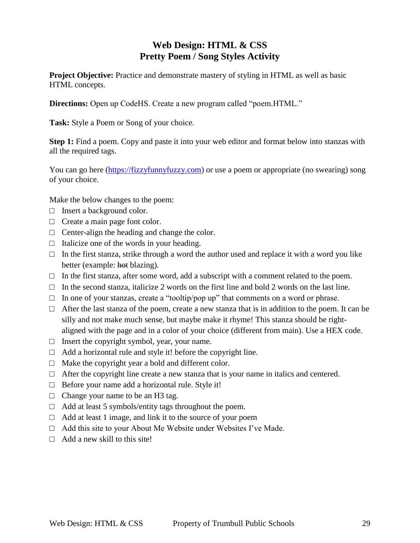## **Web Design: HTML & CSS Pretty Poem / Song Styles Activity**

**Project Objective:** Practice and demonstrate mastery of styling in HTML as well as basic HTML concepts.

**Directions:** Open up CodeHS. Create a new program called "poem.HTML."

**Task:** Style a Poem or Song of your choice.

**Step 1:** Find a poem. Copy and paste it into your web editor and format below into stanzas with all the required tags.

You can go here [\(https://fizzyfunnyfuzzy.com\)](https://fizzyfunnyfuzzy.com/) or use a poem or appropriate (no swearing) song of your choice.

Make the below changes to the poem:

- □ Insert a background color.
- □ Create a main page font color.
- $\Box$  Center-align the heading and change the color.
- $\Box$  Italicize one of the words in your heading.
- $\Box$  In the first stanza, strike through a word the author used and replace it with a word you like better (example: hot blazing).
- $\Box$  In the first stanza, after some word, add a subscript with a comment related to the poem.
- $\Box$  In the second stanza, italicize 2 words on the first line and bold 2 words on the last line.
- $\Box$  In one of your stanzas, create a "tooltip/pop up" that comments on a word or phrase.
- $\Box$  After the last stanza of the poem, create a new stanza that is in addition to the poem. It can be silly and not make much sense, but maybe make it rhyme! This stanza should be rightaligned with the page and in a color of your choice (different from main). Use a HEX code.
- $\Box$  Insert the copyright symbol, year, your name.
- $\Box$  Add a horizontal rule and style it! before the copyright line.
- $\Box$  Make the copyright year a bold and different color.
- $\Box$  After the copyright line create a new stanza that is your name in italics and centered.
- $\Box$  Before your name add a horizontal rule. Style it!
- $\Box$  Change your name to be an H3 tag.
- $\Box$  Add at least 5 symbols/entity tags throughout the poem.
- $\Box$  Add at least 1 image, and link it to the source of your poem
- $\Box$  Add this site to your About Me Website under Websites I've Made.
- $\Box$  Add a new skill to this site!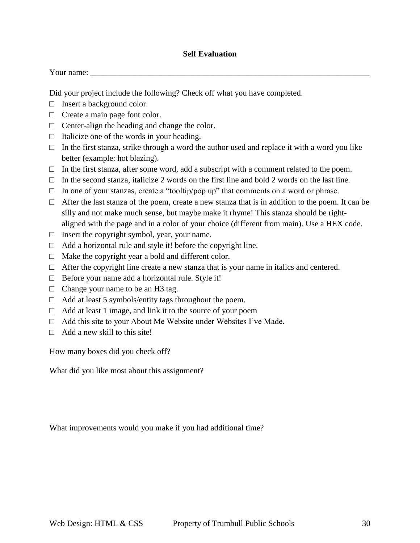#### **Self Evaluation**

| Your name: |
|------------|
|------------|

Did your project include the following? Check off what you have completed.

- □ Insert a background color.
- □ Create a main page font color.
- □ Center-align the heading and change the color.
- $\Box$  Italicize one of the words in your heading.
- $\Box$  In the first stanza, strike through a word the author used and replace it with a word you like better (example: hot blazing).
- $\Box$  In the first stanza, after some word, add a subscript with a comment related to the poem.
- $\Box$  In the second stanza, italicize 2 words on the first line and bold 2 words on the last line.
- $\Box$  In one of your stanzas, create a "tooltip/pop up" that comments on a word or phrase.
- $\Box$  After the last stanza of the poem, create a new stanza that is in addition to the poem. It can be silly and not make much sense, but maybe make it rhyme! This stanza should be rightaligned with the page and in a color of your choice (different from main). Use a HEX code.
- $\Box$  Insert the copyright symbol, year, your name.
- $\Box$  Add a horizontal rule and style it! before the copyright line.
- $\Box$  Make the copyright year a bold and different color.
- $\Box$  After the copyright line create a new stanza that is your name in italics and centered.
- $\Box$  Before your name add a horizontal rule. Style it!
- $\Box$  Change your name to be an H3 tag.
- $\Box$  Add at least 5 symbols/entity tags throughout the poem.
- $\Box$  Add at least 1 image, and link it to the source of your poem
- $\Box$  Add this site to your About Me Website under Websites I've Made.
- $\Box$  Add a new skill to this site!

How many boxes did you check off?

What did you like most about this assignment?

What improvements would you make if you had additional time?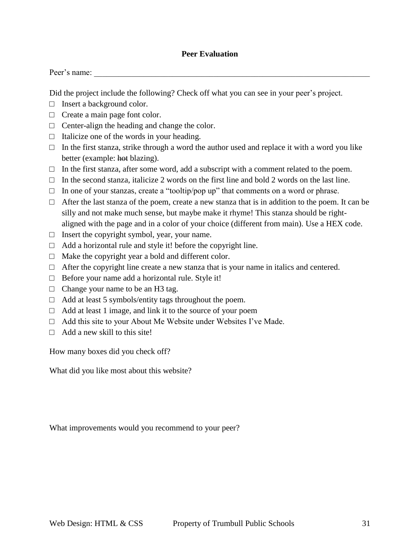#### **Peer Evaluation**

| Peer's name: |  |  |  |  |
|--------------|--|--|--|--|
|              |  |  |  |  |

Did the project include the following? Check off what you can see in your peer's project.

- □ Insert a background color.
- □ Create a main page font color.
- $\Box$  Center-align the heading and change the color.
- $\Box$  Italicize one of the words in your heading.
- $\Box$  In the first stanza, strike through a word the author used and replace it with a word you like better (example: hot blazing).
- $\Box$  In the first stanza, after some word, add a subscript with a comment related to the poem.
- $\Box$  In the second stanza, italicize 2 words on the first line and bold 2 words on the last line.
- $\Box$  In one of your stanzas, create a "tooltip/pop up" that comments on a word or phrase.
- $\Box$  After the last stanza of the poem, create a new stanza that is in addition to the poem. It can be silly and not make much sense, but maybe make it rhyme! This stanza should be rightaligned with the page and in a color of your choice (different from main). Use a HEX code.
- $\Box$  Insert the copyright symbol, year, your name.
- $\Box$  Add a horizontal rule and style it! before the copyright line.
- □ Make the copyright year a bold and different color.
- $\Box$  After the copyright line create a new stanza that is your name in italics and centered.
- $\Box$  Before your name add a horizontal rule. Style it!
- $\Box$  Change your name to be an H3 tag.
- □ Add at least 5 symbols/entity tags throughout the poem.
- $\Box$  Add at least 1 image, and link it to the source of your poem
- $\Box$  Add this site to your About Me Website under Websites I've Made.
- $\Box$  Add a new skill to this site!

How many boxes did you check off?

What did you like most about this website?

What improvements would you recommend to your peer?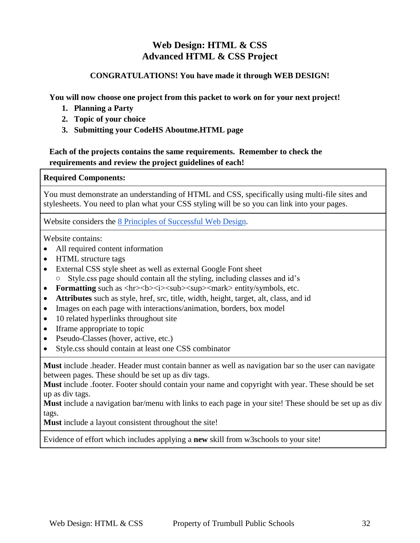## **Web Design: HTML & CSS Advanced HTML & CSS Project**

## **CONGRATULATIONS! You have made it through WEB DESIGN!**

**You will now choose one project from this packet to work on for your next project!**

- **1. Planning a Party**
- **2. Topic of your choice**
- **3. Submitting your CodeHS Aboutme.HTML page**

## **Each of the projects contains the same requirements. Remember to check the requirements and review the project guidelines of each!**

## **Required Components:**

You must demonstrate an understanding of HTML and CSS, specifically using multi-file sites and stylesheets. You need to plan what your CSS styling will be so you can link into your pages.

Website considers the [8 Principles of Successful Web Design.](https://www.cleverism.com/web-design-principles-successful-websites/)

Website contains:

- All required content information
- HTML structure tags
- External CSS style sheet as well as external Google Font sheet ○ Style.css page should contain all the styling, including classes and id's
- Formatting such as <hr>>>>>><i>>>>>><sub><sup><mark> entity/symbols, etc.
- **Attributes** such as style, href, src, title, width, height, target, alt, class, and id
- Images on each page with interactions/animation, borders, box model
- 10 related hyperlinks throughout site
- Iframe appropriate to topic
- Pseudo-Classes (hover, active, etc.)
- Style.css should contain at least one CSS combinator

**Must** include .header. Header must contain banner as well as navigation bar so the user can navigate between pages. These should be set up as div tags.

**Must** include .footer. Footer should contain your name and copyright with year. These should be set up as div tags.

**Must** include a navigation bar/menu with links to each page in your site! These should be set up as div tags.

**Must** include a layout consistent throughout the site!

Evidence of effort which includes applying a **new** skill from w3schools to your site!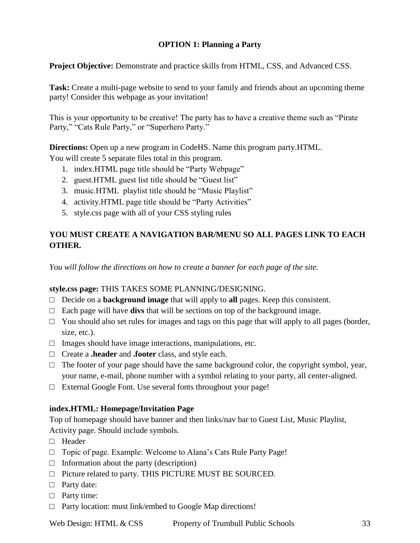## **OPTION 1: Planning a Party**

**Project Objective:** Demonstrate and practice skills from HTML, CSS, and Advanced CSS.

**Task:** Create a multi-page website to send to your family and friends about an upcoming theme party! Consider this webpage as your invitation!

This is your opportunity to be creative! The party has to have a creative theme such as "Pirate Party," "Cats Rule Party," or "Superhero Party."

**Directions:** Open up a new program in CodeHS. Name this program party.HTML. You will create 5 separate files total in this program.

- 1. index.HTML page title should be "Party Webpage"
- 2. guest.HTML guest list title should be "Guest list"
- 3. music.HTML playlist title should be "Music Playlist"
- 4. activity.HTML page title should be "Party Activities"
- 5. style.css page with all of your CSS styling rules

## **YOU MUST CREATE A NAVIGATION BAR/MENU SO ALL PAGES LINK TO EACH OTHER.**

*You will follow the directions on how to create a banner for each page of the site.* 

#### **style.css page:** THIS TAKES SOME PLANNING/DESIGNING.

- $\Box$  Decide on a **background image** that will apply to **all** pages. Keep this consistent.
- □ Each page will have **divs** that will be sections on top of the background image.
- $\Box$  You should also set rules for images and tags on this page that will apply to all pages (border, size, etc.).
- $\Box$  Images should have image interactions, manipulations, etc.
- □ Create a **.header** and **.footer** class, and style each.
- $\Box$  The footer of your page should have the same background color, the copyright symbol, year, your name, e-mail, phone number with a symbol relating to your party, all center-aligned.
- $\Box$  External Google Font. Use several fonts throughout your page!

#### **index.HTML: Homepage/Invitation Page**

Top of homepage should have banner and then links/nav bar to Guest List, Music Playlist, Activity page. Should include symbols.

- □ Header
- □ Topic of page. Example: Welcome to Alana's Cats Rule Party Page!
- $\Box$  Information about the party (description)
- □ Picture related to party. THIS PICTURE MUST BE SOURCED.
- □ Party date:
- □ Party time:
- $\Box$  Party location: must link/embed to Google Map directions!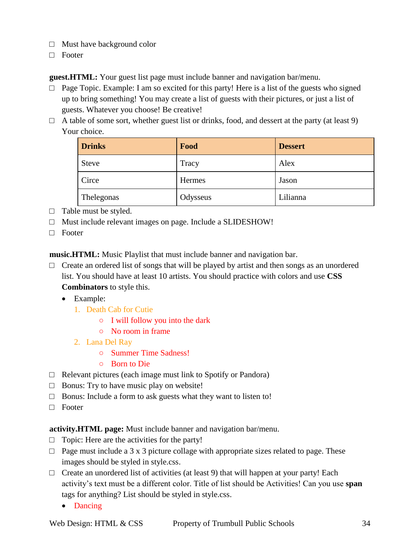- □ Must have background color
- □ Footer

**guest.HTML:** Your guest list page must include banner and navigation bar/menu.

- □ Page Topic. Example: I am so excited for this party! Here is a list of the guests who signed up to bring something! You may create a list of guests with their pictures, or just a list of guests. Whatever you choose! Be creative!
- $\Box$  A table of some sort, whether guest list or drinks, food, and dessert at the party (at least 9) Your choice.

| <b>Drinks</b> | Food     | <b>Dessert</b> |
|---------------|----------|----------------|
| <b>Steve</b>  | Tracy    | Alex           |
| Circe         | Hermes   | Jason          |
| Thelegonas    | Odysseus | Lilianna       |

- $\Box$  Table must be styled.
- □ Must include relevant images on page. Include a SLIDESHOW!
- □ Footer

**music.HTML:** Music Playlist that must include banner and navigation bar.

- $\Box$  Create an ordered list of songs that will be played by artist and then songs as an unordered list. You should have at least 10 artists. You should practice with colors and use **CSS Combinators** to style this.
	- Example:
		- 1. Death Cab for Cutie
			- I will follow you into the dark
			- No room in frame
		- 2. Lana Del Ray
			- Summer Time Sadness!
			- Born to Die
- $\Box$  Relevant pictures (each image must link to Spotify or Pandora)
- $\Box$  Bonus: Try to have music play on website!
- $\Box$  Bonus: Include a form to ask guests what they want to listen to!
- □ Footer

**activity.HTML page:** Must include banner and navigation bar/menu.

- $\Box$  Topic: Here are the activities for the party!
- $\Box$  Page must include a 3 x 3 picture collage with appropriate sizes related to page. These images should be styled in style.css.
- $\Box$  Create an unordered list of activities (at least 9) that will happen at your party! Each activity's text must be a different color. Title of list should be Activities! Can you use **span** tags for anything? List should be styled in style.css.
	- Dancing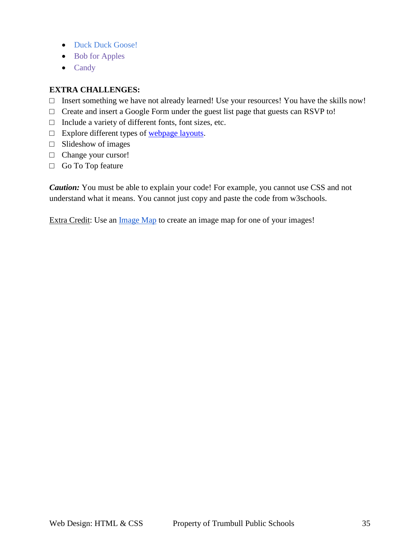- Duck Duck Goose!
- Bob for Apples
- Candy

## **EXTRA CHALLENGES:**

- □ Insert something we have not already learned! Use your resources! You have the skills now!
- □ Create and insert a Google Form under the guest list page that guests can RSVP to!
- □ Include a variety of different fonts, font sizes, etc.
- $\Box$  Explore different types of <u>webpage layouts</u>.
- $\Box$  Slideshow of images
- □ Change your cursor!
- □ Go To Top feature

*Caution:* You must be able to explain your code! For example, you cannot use CSS and not understand what it means. You cannot just copy and paste the code from w3schools.

Extra Credit: Use an [Image Map](https://www.image-map.net/) to create an image map for one of your images!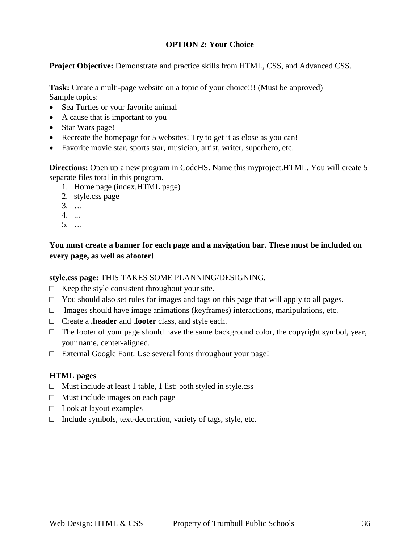## **OPTION 2: Your Choice**

**Project Objective:** Demonstrate and practice skills from HTML, CSS, and Advanced CSS.

**Task:** Create a multi-page website on a topic of your choice!!! (Must be approved) Sample topics:

- Sea Turtles or your favorite animal
- A cause that is important to you
- Star Wars page!
- Recreate the homepage for 5 websites! Try to get it as close as you can!
- Favorite movie star, sports star, musician, artist, writer, superhero, etc.

**Directions:** Open up a new program in CodeHS. Name this myproject.HTML. You will create 5 separate files total in this program.

- 1. Home page (index.HTML page)
- 2. style.css page
- 3. …
- 4. ...
- 5. …

**You must create a banner for each page and a navigation bar. These must be included on every page, as well as afooter!** 

## **style.css page:** THIS TAKES SOME PLANNING/DESIGNING.

- $\Box$  Keep the style consistent throughout your site.
- $\Box$  You should also set rules for images and tags on this page that will apply to all pages.
- $\Box$  Images should have image animations (keyframes) interactions, manipulations, etc.
- □ Create a **.header** and .**footer** class, and style each.
- $\Box$  The footer of your page should have the same background color, the copyright symbol, year, your name, center-aligned.
- □ External Google Font. Use several fonts throughout your page!

#### **HTML pages**

- $\Box$  Must include at least 1 table, 1 list; both styled in style.css
- $\Box$  Must include images on each page
- $\Box$  Look at layout examples
- $\Box$  Include symbols, text-decoration, variety of tags, style, etc.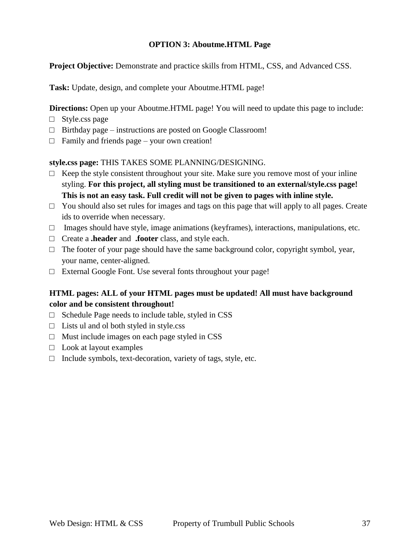## **OPTION 3: Aboutme.HTML Page**

**Project Objective:** Demonstrate and practice skills from HTML, CSS, and Advanced CSS.

**Task:** Update, design, and complete your Aboutme.HTML page!

**Directions:** Open up your Aboutme.HTML page! You will need to update this page to include:

- □ Style.css page
- $\Box$  Birthday page instructions are posted on Google Classroom!
- $\Box$  Family and friends page your own creation!

## **style.css page:** THIS TAKES SOME PLANNING/DESIGNING.

- $\Box$  Keep the style consistent throughout your site. Make sure you remove most of your inline styling. **For this project, all styling must be transitioned to an external/style.css page! This is not an easy task. Full credit will not be given to pages with inline style.**
- $\Box$  You should also set rules for images and tags on this page that will apply to all pages. Create ids to override when necessary.
- $\Box$  Images should have style, image animations (keyframes), interactions, manipulations, etc.
- □ Create a **.header** and **.footer** class, and style each.
- $\Box$  The footer of your page should have the same background color, copyright symbol, year, your name, center-aligned.
- □ External Google Font. Use several fonts throughout your page!

## **HTML pages: ALL of your HTML pages must be updated! All must have background color and be consistent throughout!**

- $\Box$  Schedule Page needs to include table, styled in CSS
- $\Box$  Lists ul and ol both styled in style.css
- $\Box$  Must include images on each page styled in CSS
- $\Box$  Look at layout examples
- $\Box$  Include symbols, text-decoration, variety of tags, style, etc.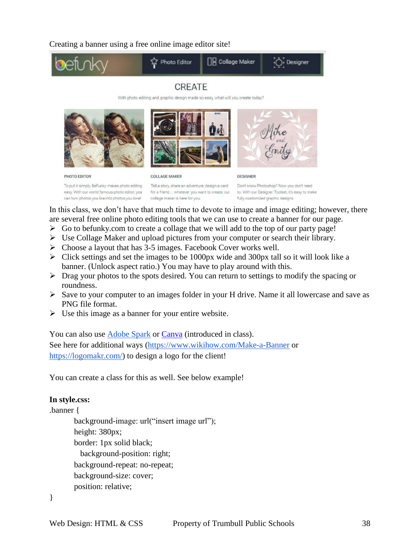Creating a banner using a free online image editor site!



## **CREATE**

With photo editing and graphic design made so easy, what will you create today?







PHOTO EDITOR

**COLLAGE MAKER** 

**DESIGNER** 

To put it simply, BeFunky makes photo editing easy. With our world famous photo editor, you can turn photos you like into photos you love!

Tell a story, share an adventure, design a card for a friend... whatever you want to create, our collage maker is here for you.

Don't know Photoshop? Now you don't need to. With our Designer Toolset, it's easy to make fully customized graphic designs.

In this class, we don't have that much time to devote to image and image editing; however, there are several free online photo editing tools that we can use to create a banner for our page.

- $\triangleright$  Go to befunky.com to create a collage that we will add to the top of our party page!
- $\triangleright$  Use Collage Maker and upload pictures from your computer or search their library.
- $\triangleright$  Choose a layout that has 3-5 images. Facebook Cover works well.
- $\triangleright$  Click settings and set the images to be 1000px wide and 300px tall so it will look like a banner. (Unlock aspect ratio.) You may have to play around with this.
- $\triangleright$  Drag your photos to the spots desired. You can return to settings to modify the spacing or roundness.
- $\triangleright$  Save to your computer to an images folder in your H drive. Name it all lowercase and save as PNG file format.
- $\triangleright$  Use this image as a banner for your entire website.

You can also use [Adobe Spark](https://spark.adobe.com/make/banner-maker) or [Canva](https://www.canva.com/) (introduced in class). See here for additional ways [\(https://www.wikihow.com/Make-a-Banner](https://www.wikihow.com/Make-a-Banner) or [https://logomakr.com/\)](https://logomakr.com/) to design a logo for the client!

You can create a class for this as well. See below example!

## **In style.css:**

```
.banner {
background-image: url("insert image url");
height: 380px; 
border: 1px solid black;
   background-position: right;
background-repeat: no-repeat;
background-size: cover;
position: relative;
```

```
}
```